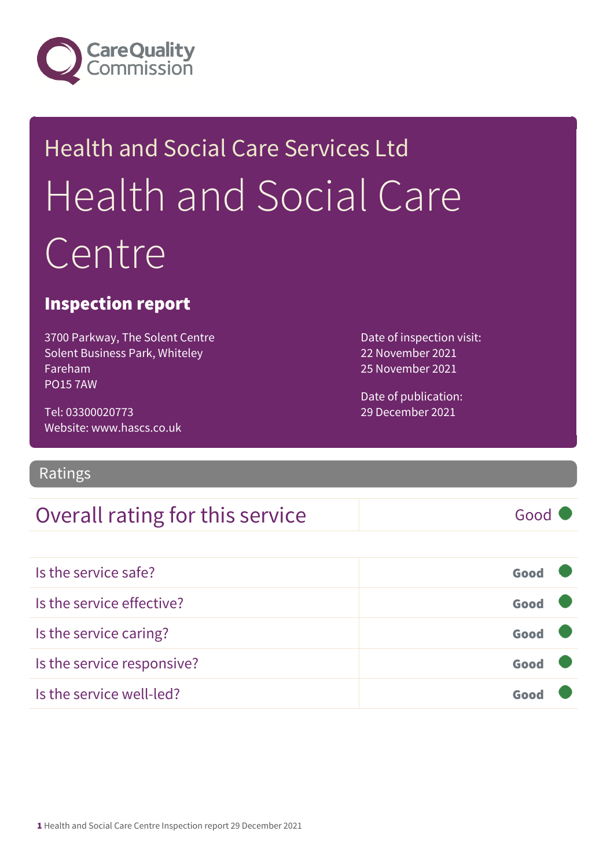

# Health and Social Care Services Ltd Health and Social Care Centre

### Inspection report

3700 Parkway, The Solent Centre Solent Business Park, Whiteley Fareham PO15 7AW

Tel: 03300020773 Website: www.hascs.co.uk Date of inspection visit: 22 November 2021 25 November 2021

Date of publication: 29 December 2021

### Ratings

### Overall rating for this service Good

| Is the service safe?       | Good |  |
|----------------------------|------|--|
| Is the service effective?  | Good |  |
| Is the service caring?     | Good |  |
| Is the service responsive? | Good |  |
| Is the service well-led?   |      |  |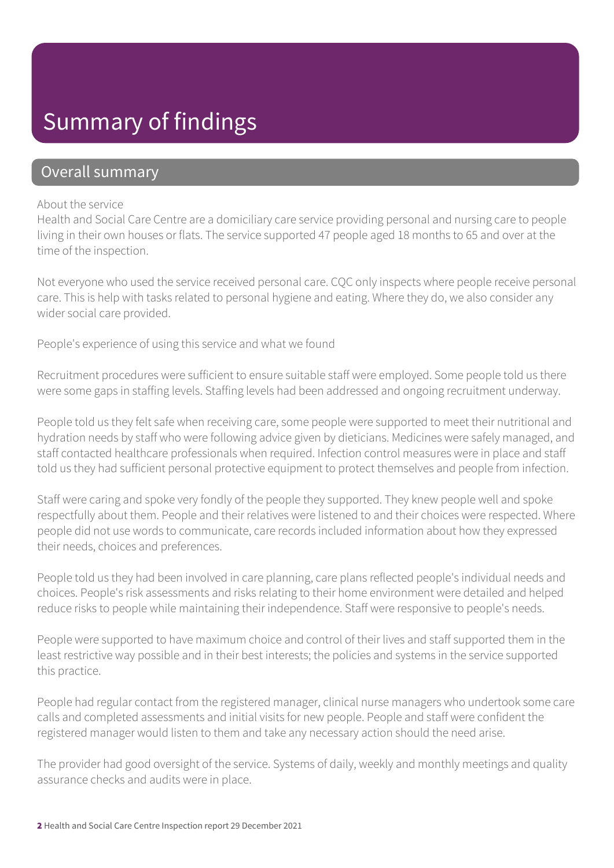### Summary of findings

### Overall summary

#### About the service

Health and Social Care Centre are a domiciliary care service providing personal and nursing care to people living in their own houses or flats. The service supported 47 people aged 18 months to 65 and over at the time of the inspection.

Not everyone who used the service received personal care. CQC only inspects where people receive personal care. This is help with tasks related to personal hygiene and eating. Where they do, we also consider any wider social care provided.

People's experience of using this service and what we found

Recruitment procedures were sufficient to ensure suitable staff were employed. Some people told us there were some gaps in staffing levels. Staffing levels had been addressed and ongoing recruitment underway.

People told us they felt safe when receiving care, some people were supported to meet their nutritional and hydration needs by staff who were following advice given by dieticians. Medicines were safely managed, and staff contacted healthcare professionals when required. Infection control measures were in place and staff told us they had sufficient personal protective equipment to protect themselves and people from infection.

Staff were caring and spoke very fondly of the people they supported. They knew people well and spoke respectfully about them. People and their relatives were listened to and their choices were respected. Where people did not use words to communicate, care records included information about how they expressed their needs, choices and preferences.

People told us they had been involved in care planning, care plans reflected people's individual needs and choices. People's risk assessments and risks relating to their home environment were detailed and helped reduce risks to people while maintaining their independence. Staff were responsive to people's needs.

People were supported to have maximum choice and control of their lives and staff supported them in the least restrictive way possible and in their best interests; the policies and systems in the service supported this practice.

People had regular contact from the registered manager, clinical nurse managers who undertook some care calls and completed assessments and initial visits for new people. People and staff were confident the registered manager would listen to them and take any necessary action should the need arise.

The provider had good oversight of the service. Systems of daily, weekly and monthly meetings and quality assurance checks and audits were in place.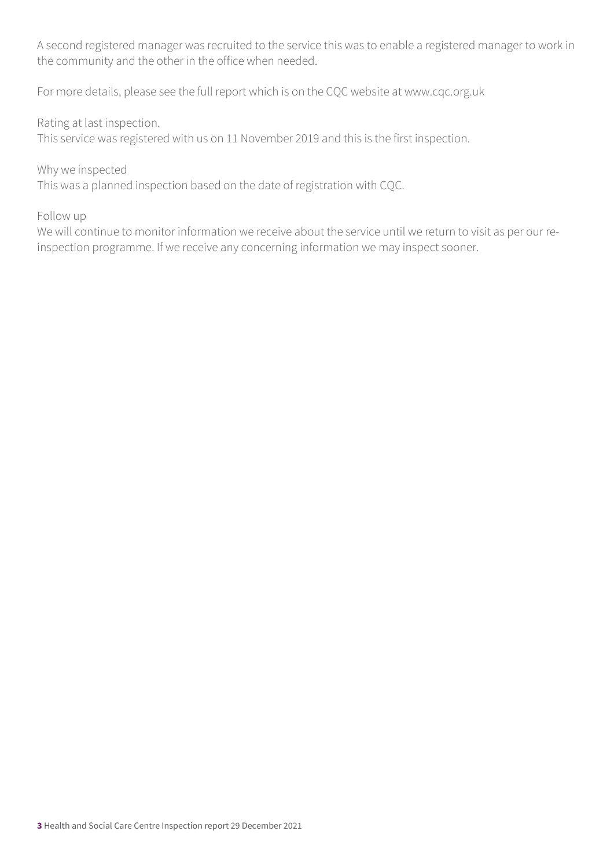A second registered manager was recruited to the service this was to enable a registered manager to work in the community and the other in the office when needed.

For more details, please see the full report which is on the CQC website at www.cqc.org.uk

Rating at last inspection.

This service was registered with us on 11 November 2019 and this is the first inspection.

Why we inspected

This was a planned inspection based on the date of registration with CQC.

Follow up

We will continue to monitor information we receive about the service until we return to visit as per our reinspection programme. If we receive any concerning information we may inspect sooner.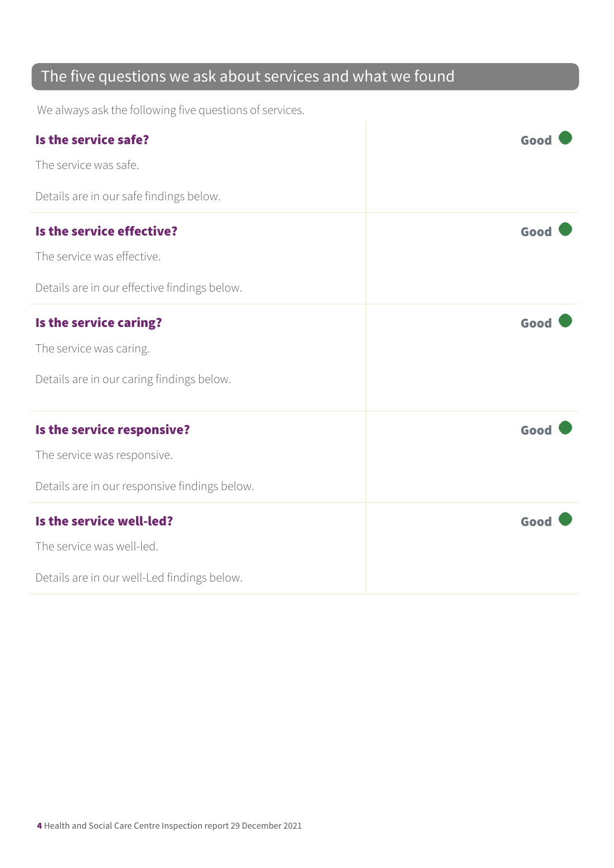### The five questions we ask about services and what we found

We always ask the following five questions of services.

| Is the service safe?                          | Good |
|-----------------------------------------------|------|
| The service was safe.                         |      |
| Details are in our safe findings below.       |      |
| Is the service effective?                     | Good |
| The service was effective.                    |      |
| Details are in our effective findings below.  |      |
| Is the service caring?                        | Good |
| The service was caring.                       |      |
| Details are in our caring findings below.     |      |
| Is the service responsive?                    | Good |
| The service was responsive.                   |      |
| Details are in our responsive findings below. |      |
| Is the service well-led?                      | Good |
| The service was well-led.                     |      |
| Details are in our well-Led findings below.   |      |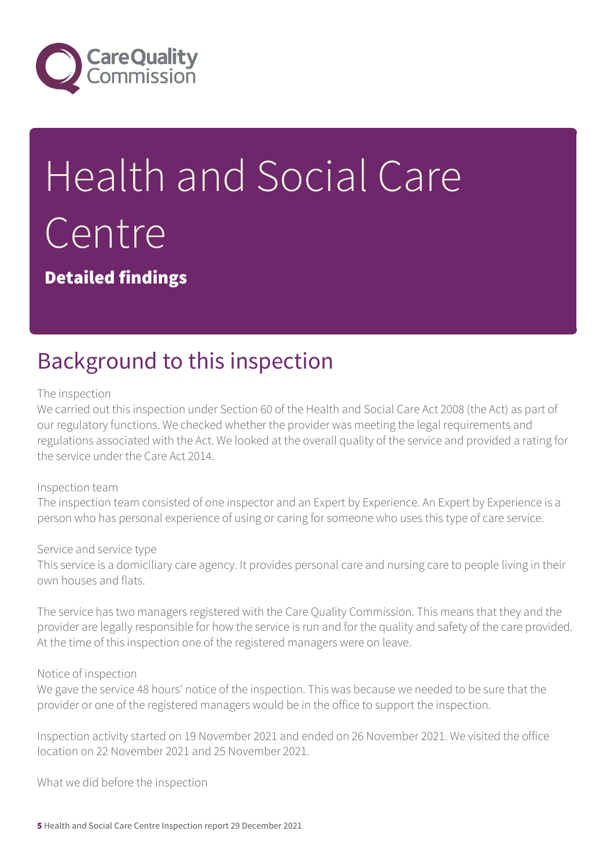

# Health and Social Care Centre

Detailed findings

### Background to this inspection

#### The inspection

We carried out this inspection under Section 60 of the Health and Social Care Act 2008 (the Act) as part of our regulatory functions. We checked whether the provider was meeting the legal requirements and regulations associated with the Act. We looked at the overall quality of the service and provided a rating for the service under the Care Act 2014.

#### Inspection team

The inspection team consisted of one inspector and an Expert by Experience. An Expert by Experience is a person who has personal experience of using or caring for someone who uses this type of care service.

#### Service and service type

This service is a domiciliary care agency. It provides personal care and nursing care to people living in their own houses and flats.

The service has two managers registered with the Care Quality Commission. This means that they and the provider are legally responsible for how the service is run and for the quality and safety of the care provided. At the time of this inspection one of the registered managers were on leave.

#### Notice of inspection

We gave the service 48 hours' notice of the inspection. This was because we needed to be sure that the provider or one of the registered managers would be in the office to support the inspection.

Inspection activity started on 19 November 2021 and ended on 26 November 2021. We visited the office location on 22 November 2021 and 25 November 2021.

What we did before the inspection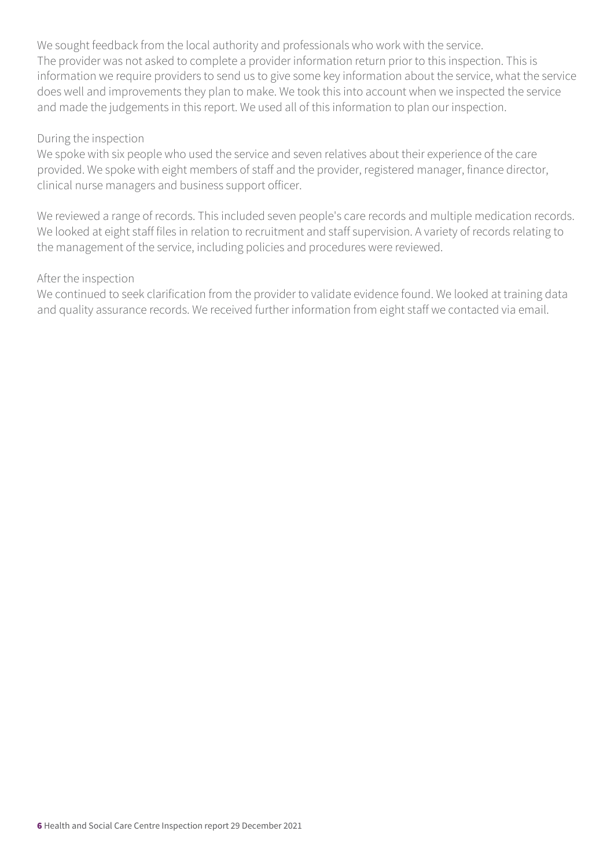We sought feedback from the local authority and professionals who work with the service. The provider was not asked to complete a provider information return prior to this inspection. This is information we require providers to send us to give some key information about the service, what the service does well and improvements they plan to make. We took this into account when we inspected the service and made the judgements in this report. We used all of this information to plan our inspection.

#### During the inspection

We spoke with six people who used the service and seven relatives about their experience of the care provided. We spoke with eight members of staff and the provider, registered manager, finance director, clinical nurse managers and business support officer.

We reviewed a range of records. This included seven people's care records and multiple medication records. We looked at eight staff files in relation to recruitment and staff supervision. A variety of records relating to the management of the service, including policies and procedures were reviewed.

#### After the inspection

We continued to seek clarification from the provider to validate evidence found. We looked at training data and quality assurance records. We received further information from eight staff we contacted via email.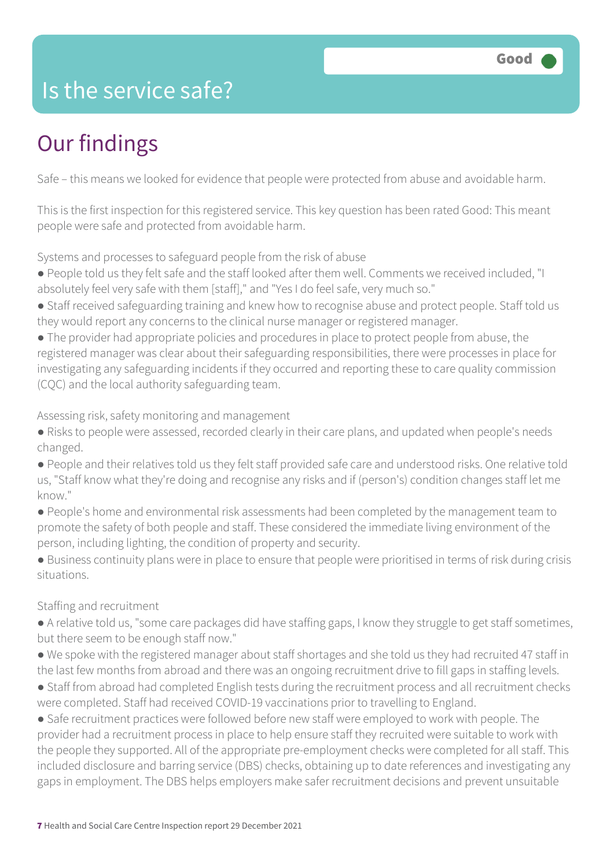### Is the service safe?

# Our findings

Safe – this means we looked for evidence that people were protected from abuse and avoidable harm.

This is the first inspection for this registered service. This key question has been rated Good: This meant people were safe and protected from avoidable harm.

Systems and processes to safeguard people from the risk of abuse

- People told us they felt safe and the staff looked after them well. Comments we received included, "I absolutely feel very safe with them [staff]," and "Yes I do feel safe, very much so."
- Staff received safeguarding training and knew how to recognise abuse and protect people. Staff told us they would report any concerns to the clinical nurse manager or registered manager.
- The provider had appropriate policies and procedures in place to protect people from abuse, the registered manager was clear about their safeguarding responsibilities, there were processes in place for investigating any safeguarding incidents if they occurred and reporting these to care quality commission (CQC) and the local authority safeguarding team.

Assessing risk, safety monitoring and management

- Risks to people were assessed, recorded clearly in their care plans, and updated when people's needs changed.
- People and their relatives told us they felt staff provided safe care and understood risks. One relative told us, "Staff know what they're doing and recognise any risks and if (person's) condition changes staff let me know."
- People's home and environmental risk assessments had been completed by the management team to promote the safety of both people and staff. These considered the immediate living environment of the person, including lighting, the condition of property and security.
- Business continuity plans were in place to ensure that people were prioritised in terms of risk during crisis situations.

#### Staffing and recruitment

- A relative told us, "some care packages did have staffing gaps, I know they struggle to get staff sometimes, but there seem to be enough staff now."
- We spoke with the registered manager about staff shortages and she told us they had recruited 47 staff in the last few months from abroad and there was an ongoing recruitment drive to fill gaps in staffing levels.
- Staff from abroad had completed English tests during the recruitment process and all recruitment checks were completed. Staff had received COVID-19 vaccinations prior to travelling to England.
- Safe recruitment practices were followed before new staff were employed to work with people. The provider had a recruitment process in place to help ensure staff they recruited were suitable to work with the people they supported. All of the appropriate pre-employment checks were completed for all staff. This included disclosure and barring service (DBS) checks, obtaining up to date references and investigating any gaps in employment. The DBS helps employers make safer recruitment decisions and prevent unsuitable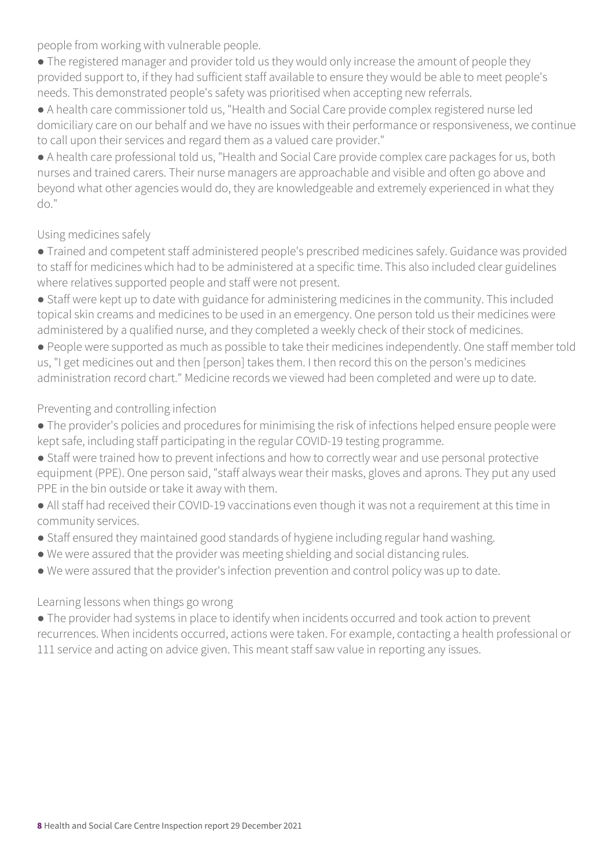people from working with vulnerable people.

• The registered manager and provider told us they would only increase the amount of people they provided support to, if they had sufficient staff available to ensure they would be able to meet people's needs. This demonstrated people's safety was prioritised when accepting new referrals.

● A health care commissioner told us, "Health and Social Care provide complex registered nurse led domiciliary care on our behalf and we have no issues with their performance or responsiveness, we continue to call upon their services and regard them as a valued care provider."

● A health care professional told us, "Health and Social Care provide complex care packages for us, both nurses and trained carers. Their nurse managers are approachable and visible and often go above and beyond what other agencies would do, they are knowledgeable and extremely experienced in what they do."

#### Using medicines safely

- Trained and competent staff administered people's prescribed medicines safely. Guidance was provided to staff for medicines which had to be administered at a specific time. This also included clear guidelines where relatives supported people and staff were not present.
- Staff were kept up to date with guidance for administering medicines in the community. This included topical skin creams and medicines to be used in an emergency. One person told us their medicines were administered by a qualified nurse, and they completed a weekly check of their stock of medicines.
- People were supported as much as possible to take their medicines independently. One staff member told us, "I get medicines out and then [person] takes them. I then record this on the person's medicines administration record chart." Medicine records we viewed had been completed and were up to date.

### Preventing and controlling infection

- The provider's policies and procedures for minimising the risk of infections helped ensure people were kept safe, including staff participating in the regular COVID-19 testing programme.
- Staff were trained how to prevent infections and how to correctly wear and use personal protective equipment (PPE). One person said, "staff always wear their masks, gloves and aprons. They put any used PPE in the bin outside or take it away with them.
- All staff had received their COVID-19 vaccinations even though it was not a requirement at this time in community services.
- Staff ensured they maintained good standards of hygiene including regular hand washing.
- We were assured that the provider was meeting shielding and social distancing rules.
- We were assured that the provider's infection prevention and control policy was up to date.

#### Learning lessons when things go wrong

● The provider had systems in place to identify when incidents occurred and took action to prevent recurrences. When incidents occurred, actions were taken. For example, contacting a health professional or 111 service and acting on advice given. This meant staff saw value in reporting any issues.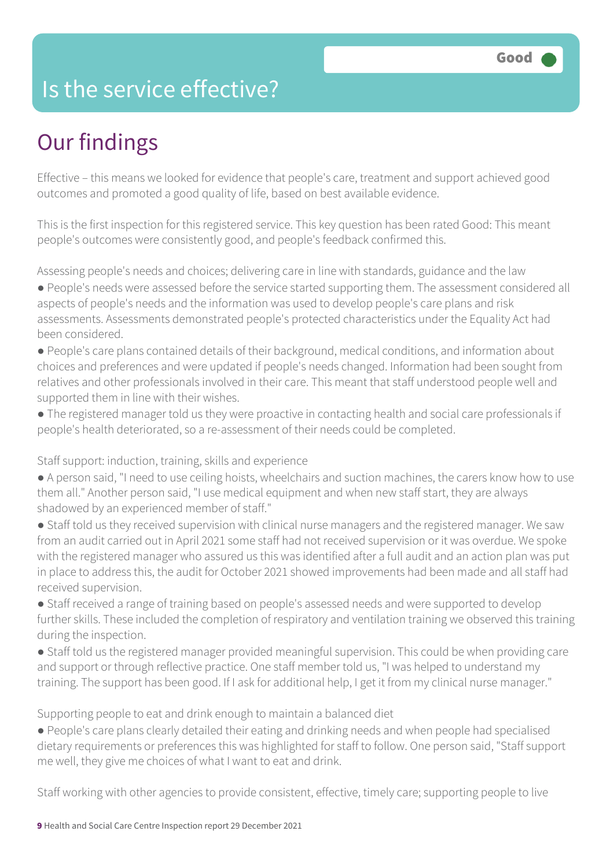### Is the service effective?

# Our findings

Effective – this means we looked for evidence that people's care, treatment and support achieved good outcomes and promoted a good quality of life, based on best available evidence.

This is the first inspection for this registered service. This key question has been rated Good: This meant people's outcomes were consistently good, and people's feedback confirmed this.

Assessing people's needs and choices; delivering care in line with standards, guidance and the law

- People's needs were assessed before the service started supporting them. The assessment considered all aspects of people's needs and the information was used to develop people's care plans and risk assessments. Assessments demonstrated people's protected characteristics under the Equality Act had been considered.
- People's care plans contained details of their background, medical conditions, and information about choices and preferences and were updated if people's needs changed. Information had been sought from relatives and other professionals involved in their care. This meant that staff understood people well and supported them in line with their wishes.
- The registered manager told us they were proactive in contacting health and social care professionals if people's health deteriorated, so a re-assessment of their needs could be completed.

#### Staff support: induction, training, skills and experience

- A person said, "I need to use ceiling hoists, wheelchairs and suction machines, the carers know how to use them all." Another person said, "I use medical equipment and when new staff start, they are always shadowed by an experienced member of staff."
- Staff told us they received supervision with clinical nurse managers and the registered manager. We saw from an audit carried out in April 2021 some staff had not received supervision or it was overdue. We spoke with the registered manager who assured us this was identified after a full audit and an action plan was put in place to address this, the audit for October 2021 showed improvements had been made and all staff had received supervision.
- Staff received a range of training based on people's assessed needs and were supported to develop further skills. These included the completion of respiratory and ventilation training we observed this training during the inspection.
- Staff told us the registered manager provided meaningful supervision. This could be when providing care and support or through reflective practice. One staff member told us, "I was helped to understand my training. The support has been good. If I ask for additional help, I get it from my clinical nurse manager."

Supporting people to eat and drink enough to maintain a balanced diet

● People's care plans clearly detailed their eating and drinking needs and when people had specialised dietary requirements or preferences this was highlighted for staff to follow. One person said, "Staff support me well, they give me choices of what I want to eat and drink.

Staff working with other agencies to provide consistent, effective, timely care; supporting people to live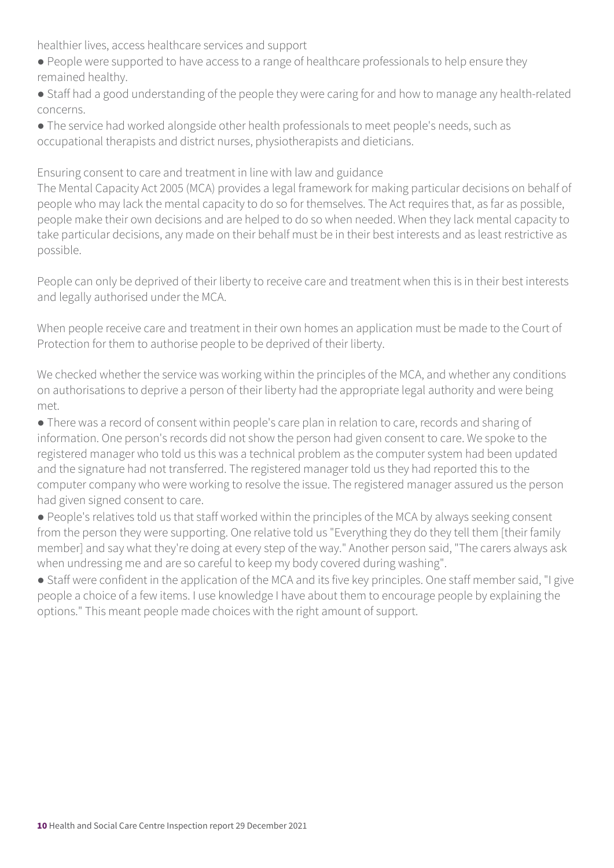healthier lives, access healthcare services and support

- People were supported to have access to a range of healthcare professionals to help ensure they remained healthy.
- Staff had a good understanding of the people they were caring for and how to manage any health-related concerns.
- The service had worked alongside other health professionals to meet people's needs, such as occupational therapists and district nurses, physiotherapists and dieticians.

Ensuring consent to care and treatment in line with law and guidance

The Mental Capacity Act 2005 (MCA) provides a legal framework for making particular decisions on behalf of people who may lack the mental capacity to do so for themselves. The Act requires that, as far as possible, people make their own decisions and are helped to do so when needed. When they lack mental capacity to take particular decisions, any made on their behalf must be in their best interests and as least restrictive as possible.

People can only be deprived of their liberty to receive care and treatment when this is in their best interests and legally authorised under the MCA.

When people receive care and treatment in their own homes an application must be made to the Court of Protection for them to authorise people to be deprived of their liberty.

We checked whether the service was working within the principles of the MCA, and whether any conditions on authorisations to deprive a person of their liberty had the appropriate legal authority and were being met.

● There was a record of consent within people's care plan in relation to care, records and sharing of information. One person's records did not show the person had given consent to care. We spoke to the registered manager who told us this was a technical problem as the computer system had been updated and the signature had not transferred. The registered manager told us they had reported this to the computer company who were working to resolve the issue. The registered manager assured us the person had given signed consent to care.

● People's relatives told us that staff worked within the principles of the MCA by always seeking consent from the person they were supporting. One relative told us "Everything they do they tell them [their family member] and say what they're doing at every step of the way." Another person said, "The carers always ask when undressing me and are so careful to keep my body covered during washing".

● Staff were confident in the application of the MCA and its five key principles. One staff member said, "I give people a choice of a few items. I use knowledge I have about them to encourage people by explaining the options." This meant people made choices with the right amount of support.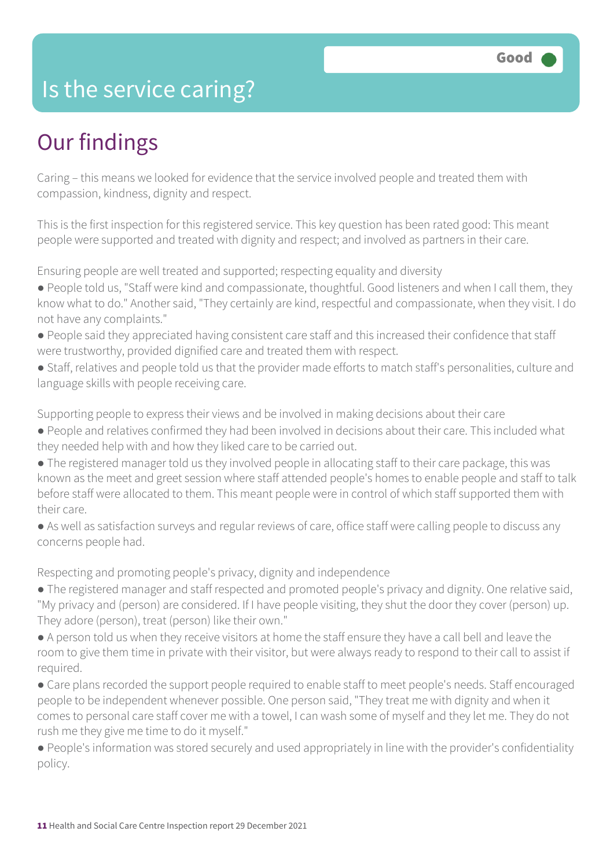### Is the service caring?

# Our findings

Caring – this means we looked for evidence that the service involved people and treated them with compassion, kindness, dignity and respect.

This is the first inspection for this registered service. This key question has been rated good: This meant people were supported and treated with dignity and respect; and involved as partners in their care.

Ensuring people are well treated and supported; respecting equality and diversity

- People told us, "Staff were kind and compassionate, thoughtful. Good listeners and when I call them, they know what to do." Another said, "They certainly are kind, respectful and compassionate, when they visit. I do not have any complaints."
- People said they appreciated having consistent care staff and this increased their confidence that staff were trustworthy, provided dignified care and treated them with respect.
- Staff, relatives and people told us that the provider made efforts to match staff's personalities, culture and language skills with people receiving care.

Supporting people to express their views and be involved in making decisions about their care

- People and relatives confirmed they had been involved in decisions about their care. This included what they needed help with and how they liked care to be carried out.
- The registered manager told us they involved people in allocating staff to their care package, this was known as the meet and greet session where staff attended people's homes to enable people and staff to talk before staff were allocated to them. This meant people were in control of which staff supported them with their care.
- As well as satisfaction surveys and regular reviews of care, office staff were calling people to discuss any concerns people had.

Respecting and promoting people's privacy, dignity and independence

- The registered manager and staff respected and promoted people's privacy and dignity. One relative said, "My privacy and (person) are considered. If I have people visiting, they shut the door they cover (person) up. They adore (person), treat (person) like their own."
- A person told us when they receive visitors at home the staff ensure they have a call bell and leave the room to give them time in private with their visitor, but were always ready to respond to their call to assist if required.
- Care plans recorded the support people required to enable staff to meet people's needs. Staff encouraged people to be independent whenever possible. One person said, "They treat me with dignity and when it comes to personal care staff cover me with a towel, I can wash some of myself and they let me. They do not rush me they give me time to do it myself."
- People's information was stored securely and used appropriately in line with the provider's confidentiality policy.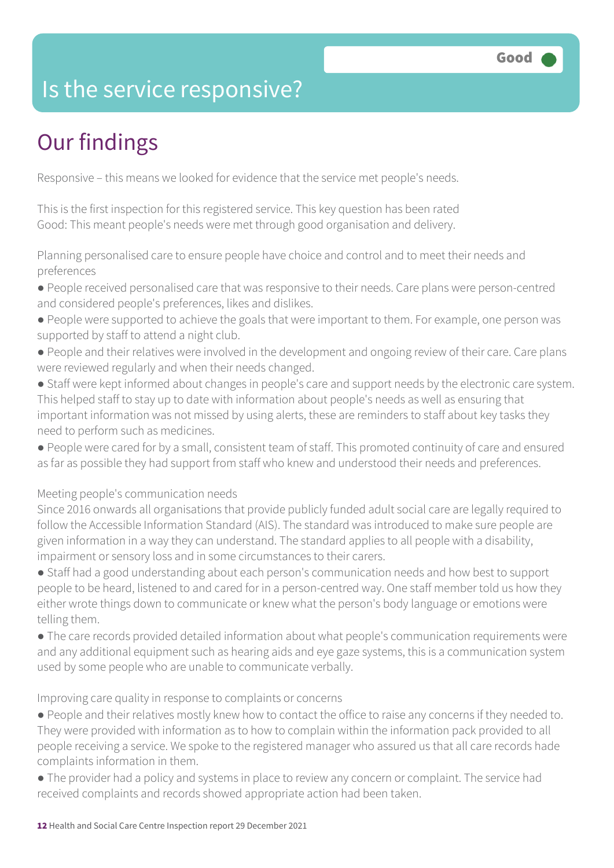### Is the service responsive?

# Our findings

Responsive – this means we looked for evidence that the service met people's needs.

This is the first inspection for this registered service. This key question has been rated Good: This meant people's needs were met through good organisation and delivery.

Planning personalised care to ensure people have choice and control and to meet their needs and preferences

- People received personalised care that was responsive to their needs. Care plans were person-centred and considered people's preferences, likes and dislikes.
- People were supported to achieve the goals that were important to them. For example, one person was supported by staff to attend a night club.
- People and their relatives were involved in the development and ongoing review of their care. Care plans were reviewed regularly and when their needs changed.
- Staff were kept informed about changes in people's care and support needs by the electronic care system. This helped staff to stay up to date with information about people's needs as well as ensuring that important information was not missed by using alerts, these are reminders to staff about key tasks they need to perform such as medicines.
- People were cared for by a small, consistent team of staff. This promoted continuity of care and ensured as far as possible they had support from staff who knew and understood their needs and preferences.

Meeting people's communication needs

Since 2016 onwards all organisations that provide publicly funded adult social care are legally required to follow the Accessible Information Standard (AIS). The standard was introduced to make sure people are given information in a way they can understand. The standard applies to all people with a disability, impairment or sensory loss and in some circumstances to their carers.

● Staff had a good understanding about each person's communication needs and how best to support people to be heard, listened to and cared for in a person-centred way. One staff member told us how they either wrote things down to communicate or knew what the person's body language or emotions were telling them.

● The care records provided detailed information about what people's communication requirements were and any additional equipment such as hearing aids and eye gaze systems, this is a communication system used by some people who are unable to communicate verbally.

#### Improving care quality in response to complaints or concerns

- People and their relatives mostly knew how to contact the office to raise any concerns if they needed to. They were provided with information as to how to complain within the information pack provided to all people receiving a service. We spoke to the registered manager who assured us that all care records hade complaints information in them.
- The provider had a policy and systems in place to review any concern or complaint. The service had received complaints and records showed appropriate action had been taken.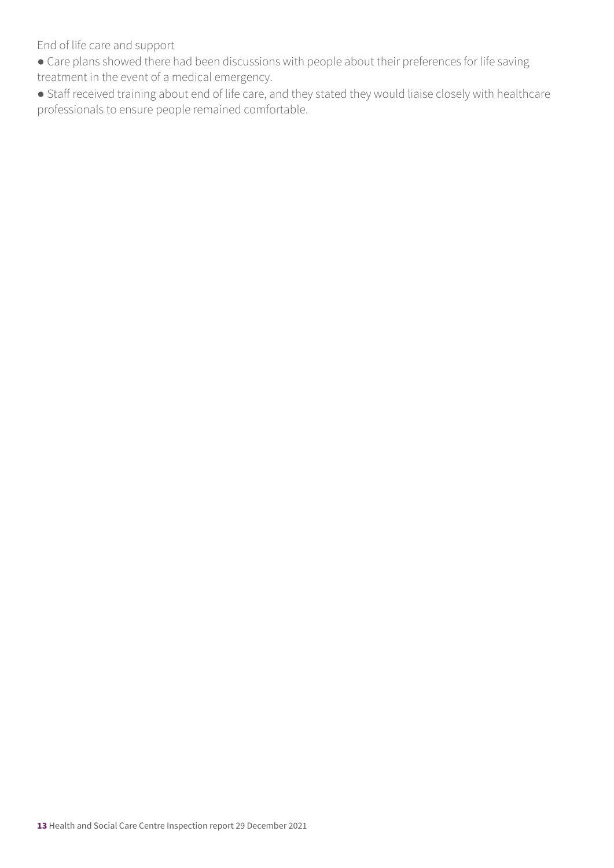End of life care and support

- Care plans showed there had been discussions with people about their preferences for life saving treatment in the event of a medical emergency.
- Staff received training about end of life care, and they stated they would liaise closely with healthcare professionals to ensure people remained comfortable.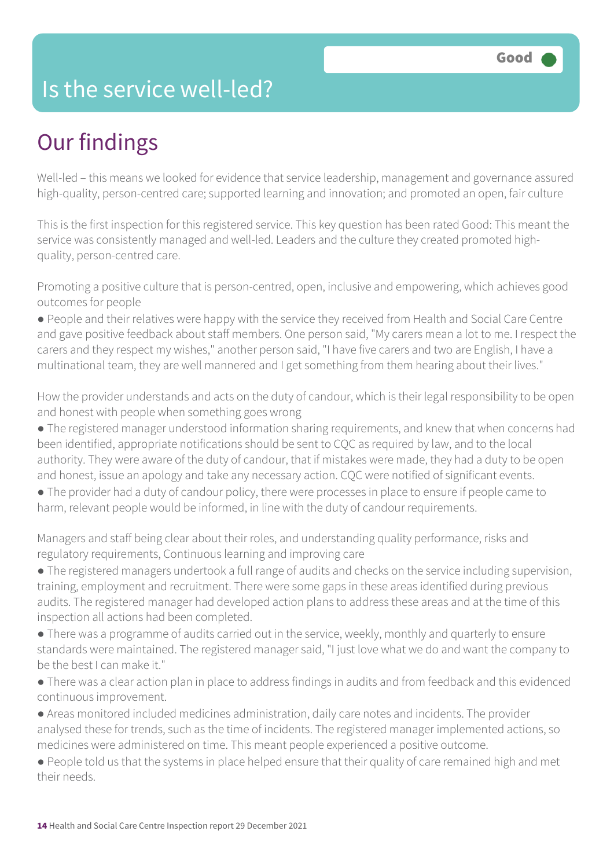### Is the service well-led?

# Our findings

Well-led – this means we looked for evidence that service leadership, management and governance assured high-quality, person-centred care; supported learning and innovation; and promoted an open, fair culture

This is the first inspection for this registered service. This key question has been rated Good: This meant the service was consistently managed and well-led. Leaders and the culture they created promoted highquality, person-centred care.

Promoting a positive culture that is person-centred, open, inclusive and empowering, which achieves good outcomes for people

● People and their relatives were happy with the service they received from Health and Social Care Centre and gave positive feedback about staff members. One person said, "My carers mean a lot to me. I respect the carers and they respect my wishes," another person said, "I have five carers and two are English, I have a multinational team, they are well mannered and I get something from them hearing about their lives."

How the provider understands and acts on the duty of candour, which is their legal responsibility to be open and honest with people when something goes wrong

- The registered manager understood information sharing requirements, and knew that when concerns had been identified, appropriate notifications should be sent to CQC as required by law, and to the local authority. They were aware of the duty of candour, that if mistakes were made, they had a duty to be open and honest, issue an apology and take any necessary action. CQC were notified of significant events.
- The provider had a duty of candour policy, there were processes in place to ensure if people came to harm, relevant people would be informed, in line with the duty of candour requirements.

Managers and staff being clear about their roles, and understanding quality performance, risks and regulatory requirements, Continuous learning and improving care

● The registered managers undertook a full range of audits and checks on the service including supervision, training, employment and recruitment. There were some gaps in these areas identified during previous audits. The registered manager had developed action plans to address these areas and at the time of this inspection all actions had been completed.

● There was a programme of audits carried out in the service, weekly, monthly and quarterly to ensure standards were maintained. The registered manager said, "I just love what we do and want the company to be the best I can make it."

● There was a clear action plan in place to address findings in audits and from feedback and this evidenced continuous improvement.

● Areas monitored included medicines administration, daily care notes and incidents. The provider analysed these for trends, such as the time of incidents. The registered manager implemented actions, so medicines were administered on time. This meant people experienced a positive outcome.

● People told us that the systems in place helped ensure that their quality of care remained high and met their needs.